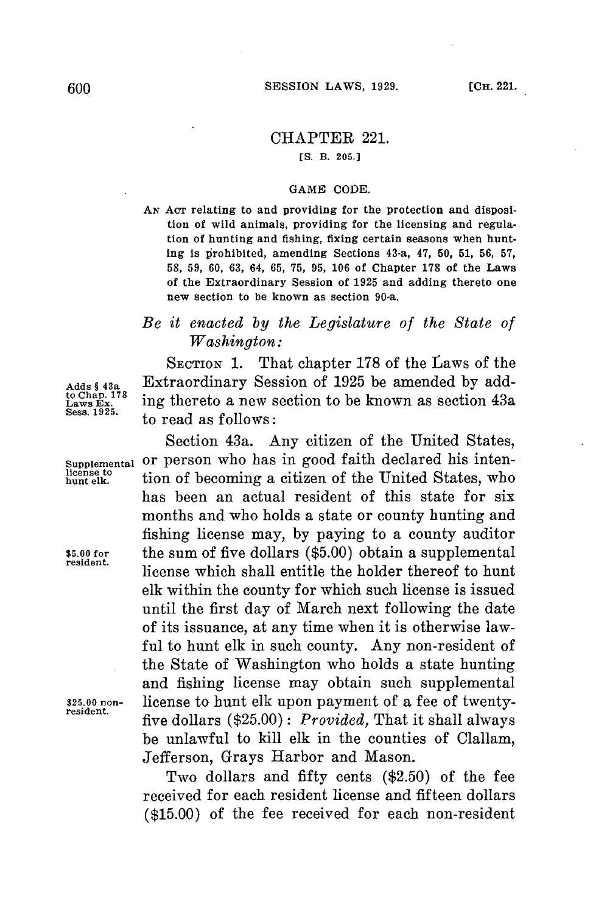## CHAPTER 221.

**[S. B. 205.]**

## **GAME CODE.**

**AN ACT** relating to and providing for the protection and disposition of wild animals, providing for the licensing and regulation of hunting and fishing, fixing certain seasons when hunting is prohibited, amending Sections 43-a, 47, **50, 51, 56, 57, 58, 59,** 60, **63,** 64, **65, 75, 95, 106** of Chapter **178** of the Laws of the Extraordinary Session of **1925** and adding thereto one new section to be known as section 90-a.

## *Be it enacted by the Legislature of the State of Washington:*

SECTION 1. That chapter 178 of the Laws of the **Adds** § **43a** Extraordinary Session of **1925** be amended **by** addto Chap 17<sup>8</sup> ing thereto a new section to be known as section 43a Sess. 1925. **Sess. 1925.** to read as follows:

Section 43a. Any citizen of the United States, **supplemental** or person who has in good faith declared his intention of becoming a citizen of the United States, who has been an actual resident of this state **for** six months and who holds a state or county hunting and fishing license may, **by** paying to a county auditor **\$5.00 for** the sum of five dollars **(\$5.00)** obtain a supplemental **resident.** license which shall entitle the holder thereof to hunt elk within the county **for** which such license is issued until the first day of March next following the date of its issuance, at any time when it is otherwise lawful to hunt elk in such county. Any non-resident of the State of Washington who holds a state hunting and fishing license may obtain such supplemental **\$25.00 non-** license to hunt elk upon payment of a fee of twenty- **resident.** five dollars **(\$25.00):** *Provided,* That it shall always be unlawful to kill elk in the counties of Clallam, Jefferson, Grays Harbor and Mason.

> Two dollars and fifty cents **(\$2.50)** of the fee received for each resident license and fifteen dollars **(\$15.00)** of the fee received for each non-resident

**license to**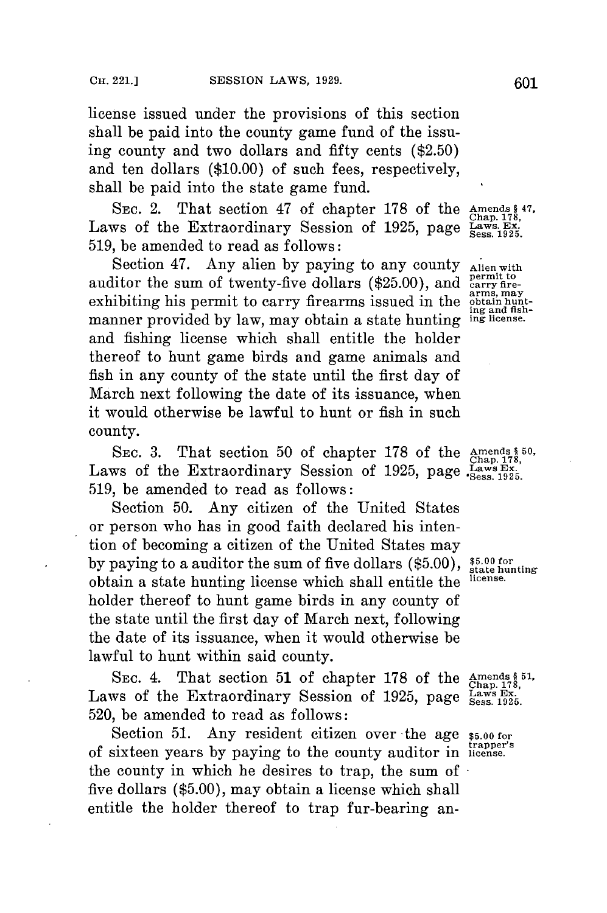license issued under the provisions of this section shall be paid into the county game fund of the issuing county and two dollars and fifty cents **(\$2.50)** and ten dollars **(\$10.00)** of such fees, respectively, shall be paid into the state game fund.

SEC. 2. That section 47 of chapter 178 of the Laws of the Extraordinary Session of 1925, page Laws. Ex. **519,** be amended to read as follows:

Section 47. Any alien by paying to any county Alien with auditor the sum of twenty-five dollars (\$25.00), and **computer** fire**arms, may** exhibiting his permit to carry firearms issued in the **obtain** huntmanner provided by law, may obtain a state hunting and fishing license which shall entitle the holder thereof to hunt game birds and game animals and fish in any county of the state until the first day of March next following the date of its issuance, when it would otherwise be lawful to hunt or fish in such county.

SEC. 3. That section 50 of chapter 178 of the Amends \$50, Laws of the Extraordinary Session of 1925, page Laws Ex. **519,** be amended to read as follows:

Section **50.** Any citizen of the United States or person who has in good faith declared his intention of becoming a citizen of the United States may by paying to a auditor the sum of five dollars (\$5.00), \$5.00 for state hunting obtain a state hunting license which shall entitle the **license.** holder thereof to hunt game birds in any county of the state until the first day of March next, following the date of its issuance, when it would otherwise be lawful to hunt within said county.

SEC. 4. That section 51 of chapter 178 of the Amends \$51,<br>ws of the Extraordinary Session of 1925, page Laws Ex.<br>1925, 1925. Laws of the Extraordinary Session of 1925, page **520,** be amended to read as follows:

Section 51. Any resident citizen over the age \$5.00 for **trapper's** of sixteen years **by** paying to the county auditor in **license.** the county in which he desires to trap, the sum of  five dollars **(\$5.00),** may obtain a license which shall entitle the holder thereof to trap fur-bearing an-

Amends § 47,<br>Chap. 178,<br>Laws. Ex.

ing and fish-<br>ing license.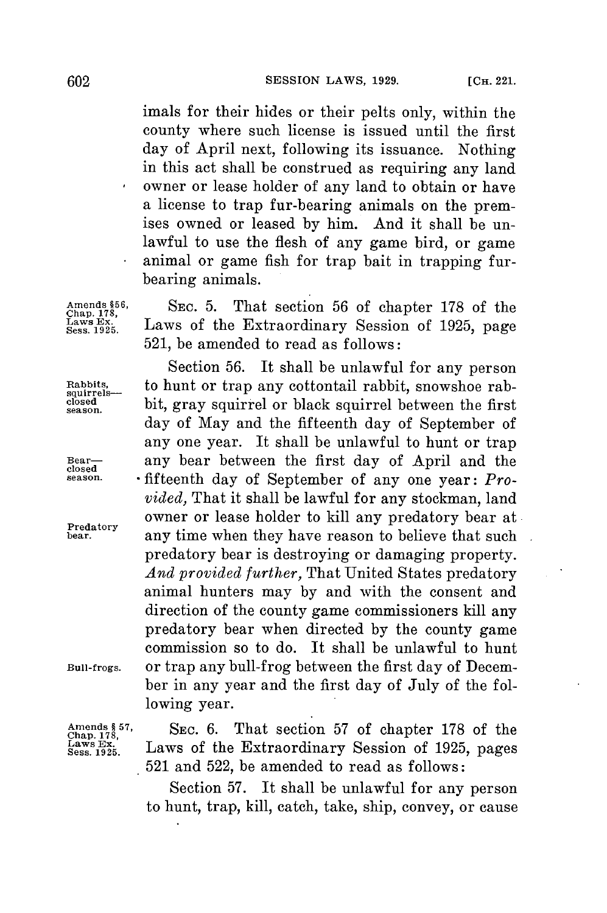imals **for** their hides or their pelts only, within the county where such license is issued until the first day of April next, following its issuance. Nothing in this act shall be construed as requiring any land owner or lease holder of any land to obtain or have a license to trap fur-bearing animals on the premises owned or leased **by** him. And it shall be unlawful to use the flesh of any game bird, or game animal or game fish for trap bait in trapping furbearing animals.

Amends \$56, SEC. 5. **That section 56 of chapter 178 of the** <br>Laws Ex. Laws of the Extraordinary Session of 1925, page **521,** be amended to read as follows:

Section **56.** It shall be unlawful for any person Rabbits, to hunt or trap any cottontail rabbit, snowshoe rab-<br>
closed bit, gnori conjuned on block conjunal between the first closed **bit, gray squirrel or black squirrel between the first** day of May and the fifteenth day of September of any one year. It shall be unlawful to hunt or trap **Bear any bear between the first day of April and the closed**<br> **closed closed closed closed closed closed closed closed closed closed closed c season.** .fifteenth day of September of any one year: *Provided,* That it shall be lawful **for** any stockman, land owner or lease holder to kill any predatory bear at any time when they have reason to believe that such predatory bear is destroying or damaging property. *And provided further,* That United States predatory animal hunters may **by** and with the consent and direction of the county game commissioners kill any predatory bear when directed **by** the county game commission so to do. It shall be unlawful to hunt **Bull-frogs.** or trap any bull-frog between the first day of December in any year and the first day of July of the following year.

**Chap. 178,§ 57** SEC. **6.** That section **57** of chapter **178** of the Sess.2. Laws of the Extraordinary Session of **1925,** pages **521** and **522,** be amended to read as follows:

> Section **57.** It shall be unlawful for any person to hunt, trap, kill, catch, take, ship, convey, or cause

**Predatory**

**Amends Laws Ex.**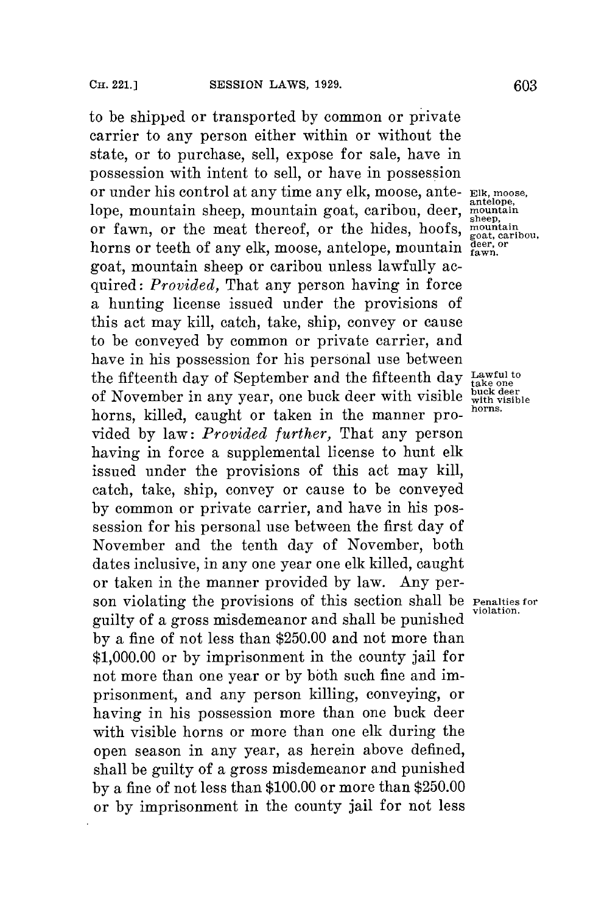to be shipped or transported **by** common or private carrier to any person either within or without the state, or to purchase, sell, expose for sale, have in possession with intent to sell, or have in possession or under his control at any time any elk, moose, ante- **Elk, moose,** lope, mountain sheep, mountain goat, caribou, deer, or fawn, or the meat thereof, or the hides, hoofs, be rawn, or the meat thereor, or the mass, hoors, <sub>goat, caribou</sub> horns or teeth of any elk, moose, antelope, mountain  $\frac{\text{deer, or}}{\text{fawn}}$ . goat, mountain sheep or caribou unless lawfully acquired: *Provided,* That any person having in force a hunting license issued under the provisions of this act may kill, catch, take, ship, convey or cause to be conveyed **by** common or private carrier, and have in his possession for his personal use between the fifteenth day of September and the fifteenth day Lawful to of November in any year, one buck deer with visible with visible of November in any year, one buck deer with visible **buck departies horns.** horns, killed, caught or taken in the manner provided **by** law: *Provided further,* That any person having in force a supplemental license to hunt elk issued under the provisions of this act may kill, catch, take, ship, convey or cause to **be** conveyed **by** common or private carrier, and have in his possession for his personal use between the first day of November and the tenth day of November, both dates inclusive, in any one year one elk killed, caught or taken in the manner provided **by** law. Any person violating the provisions of this section shall be **Penalties** for guilty of a gross misdemeanor and shall be punished **violation. by** a fine of not less than **\$250.00** and not more than **\$1,000.00** or **by** imprisonment in the county jail for not more than one year or **by** both such fine and imprisonment, and any person killing, conveying, or having in his possession more than one buck deer with visible horns or more than one elk during the open season in any year, as herein above defined, shall be guilty of a gross misdemeanor and punished **by** a fine of not less than **\$100.00** or more than **\$250.00** or **by** imprisonment in the county jail for not less

**antelope,** sheep,<br>mountain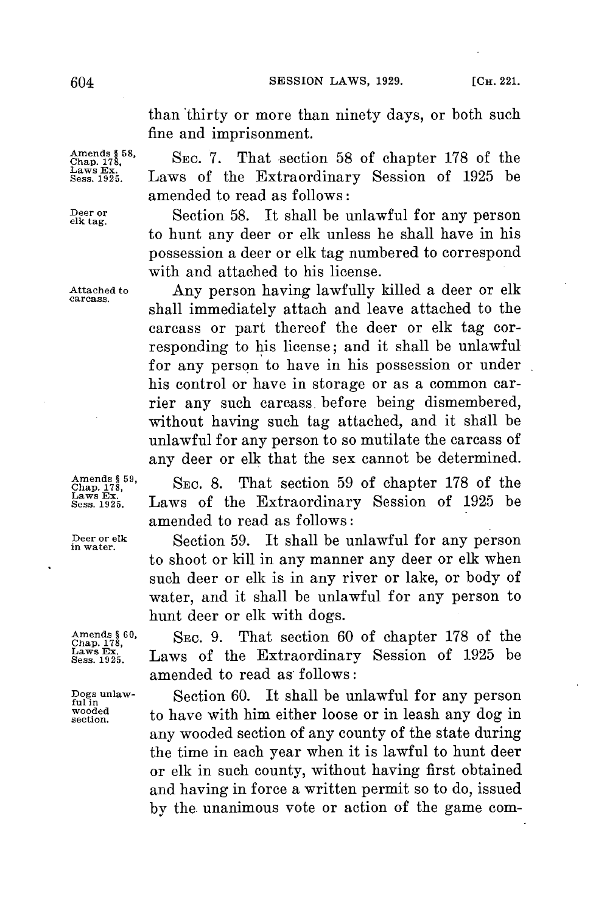than thirty or more than ninety days, or both such fine and imprisonment.

Amends § 58, SEC. 7. That section 58 of chapter 178 of the Amends § 58, SEC. 7. That section 58 of chapter 178 of the Extraordinary Session of 1925 be laws at 1925 amended to read as follows:

Deer or **Section 58.** It shall be unlawful for any person to hunt any deer or elk unless he shall have in his possession a deer or elk tag numbered to correspond with and attached to his license.

**Attached to** Any person having lawfully killed a deer or **elk carcass.** shall immediately attach and leave attached to the carcass or part thereof the deer or elk tag corresponding to his license; and it shall be unlawful for any person to have in his possession or under his control or have in storage or as a common carrier any such carcass. before being dismembered, without having such tag attached, and it shall be unlawful **for** any person to so mutilate the carcass of any deer or elk that the sex cannot be determined.

 $\frac{\text{Amends § 59}}{\text{Chap. 178}}$ , SEC. 8. That section 59 of chapter 178 of the Amends  $§ 59$ , Sec. 8. That section 59 of chapter 178 of the  $\frac{\text{Lang } 178}{\text{Leaves } 1925}$ . Laws of the Extraordinary Session of 1925 be amended to read as follows:

**Deer or elk Section 59.** It shall be unlawful for any person to shoot or kill in any manner any deer or **elk** when such deer or elk is in any river or lake, or body of water, and it shall be unlawful **for** any person to hunt deer or elk with dogs.

> **Caed 178, SEC. 9.** That section **60** of chapter **178** of the **Sess. 192.** Laws of the Extraordinary Session of **1925** be amended to read as follows:

**Dogs unlaw-** Section **60.** It shall be unlawful for any person **fulin** wooded to have with him either loose or in leash any dog in any wooded section of any county of the state during the time in each year when it is lawful to hunt deer or elk in such county, without having first obtained and having in force a written permit so to do, issued **by** the unanimous vote or action of the game com-

Amends **§ 60,<br>Chap. 178,<br>Laws Ex.<br>Sess. 1925.**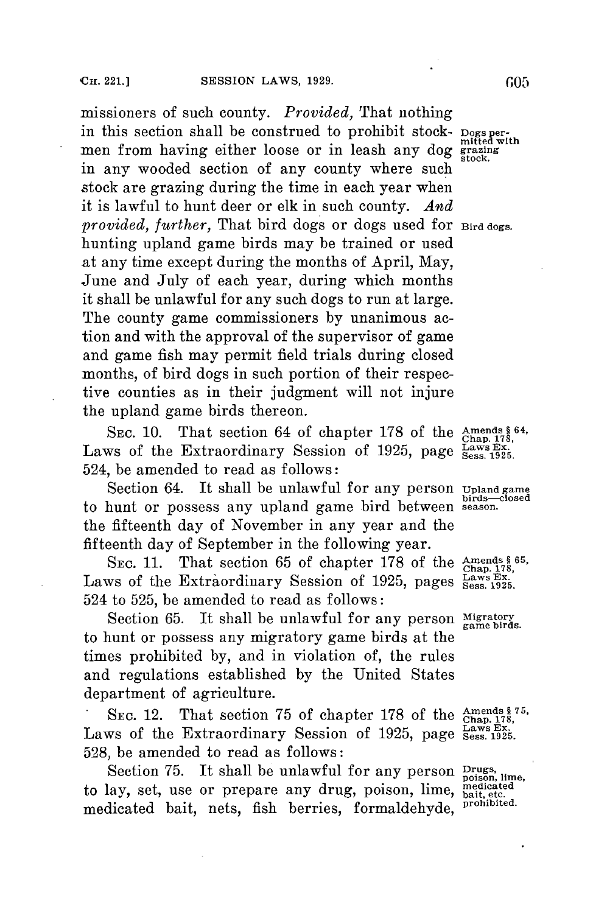missioners of such county. *Provided,* That nothing in this section shall be construed to prohibit stock- **Dogs per-** mitted with men from having either loose or in leash any dog grazing in any wooded section of any county where such stock are grazing during the time in each year when it is lawful to hunt deer or elk in such county. *And provided, further,* That bird dogs or dogs used for **Bird dogs.** hunting upland game birds may be trained or used at any time except during the months of April, May, June and July of each year, during which months it shall be unlawful **for** any such dogs to run at large. The county game commissioners **by** unanimous action and with the approval of the supervisor of game and game fish may permit field trials during closed months, of bird dogs in such portion of their respective counties as in their judgment will not injure the upland game birds thereon.

SEC. 10. That section 64 of chapter 178 of the **Amends** 664 Laws of the Extraordinary Session of 1925, page  $_{\rm Sess}^{\rm Law}$ 524, be amended to read as follows:

Section 64. It shall be unlawful for any person *upland game* to hunt or possess any upland game bird between **season.** the fifteenth day of November in any year and the fifteenth day of September in the following year.

**SEC. 11.** That section **65** of chapter **178** of the **Amends § 65, Chap. 178,** Laws of the Extraordinary Session of 1925, pages **Laws** Ex. 1925. 524 to **525,** be amended to read as follows:

Section 65. It shall be unlawful for any person Migratory to hunt or possess any migratory game birds at the times prohibited **by,** and in violation of, the rules and regulations established **by** the United States department of agriculture.

SEC. 12. That section 75 of chapter 178 of the chapter 178, Laws Ex.<br>Laws of the Extraordinary Session of 1925, page Sess. 1925. **528,** be amended to read as follows:

Section 75. It shall be unlawful for any person **prugs**, lime, to lay, set, use or prepare any drug, poison, lime, **medicated bait etc.** medicated bait, nets, fish berries, formaldehyde, **prohibited.**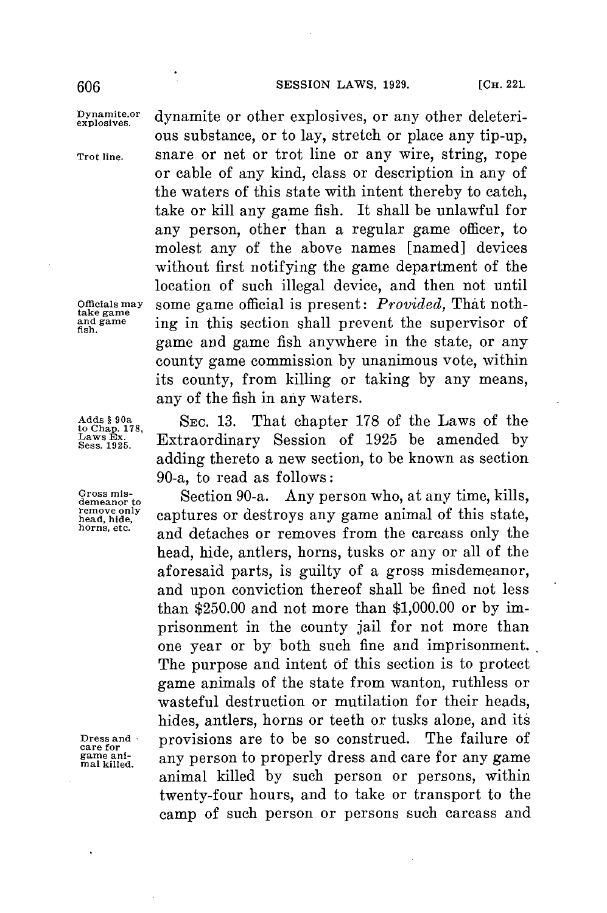## **SESSION** LAWS, **1929. [CH.** <sup>221</sup> **606**

**Explosives** dynamite or other explosives, or any other deleteri**ous** substance, or to lay, stretch or place any tip-up, **Trot line.** snare or net or trot line or any wire, string, rope or cable of any kind, class or description in any of the waters of this state with intent thereby to catch, take or kill any game fish. It shall be unlawful for any person, other than a regular game officer, to molest any of the above names [named] devices without first notifying the game department of the location of such illegal device, and then not until **Officials may** some game official is present: *Provided,* That nothtake game **b** ing in this section shall prevent the supervisor of game and game fish anywhere in the state, or any county game commission **by** unanimous vote, within its county, from killing or taking **by** any means, any of the fish in any waters.

Adds § 90a **blue SEC. 13.** That chapter 178 of the Laws of the Laws of the Laws Laws Extraordinary Session of 1925 be amended by **Sess. 1925.** Extraordinary Session of **1925** be amended **by** adding thereto a new section, to be known as section 90-a, to read as follows:

Gross mis-<br>demeanor to Section 90-a. Any person who, at any time, kills, remove only captures or destroys any game animal of this state, horns, etc. **and detaches or removes from the carcass only the** head, hide, antlers, horns, tusks or any or all of the aforesaid parts, is guilty of a gross misdemeanor, and upon conviction thereof shall be fined not less than **\$250.00** and not more than **\$1,000.00** or **by** imprisonment in the county jail for not more than one year or **by** both such fine and imprisonment. The purpose and intent of this section is to protect game animals of the state from wanton, ruthless or wasteful destruction or mutilation for their heads, hides, antlers, horns or teeth or tusks alone, and its Dress and **provisions are to be so construed.** The failure of game ani-<br>*game* any person to properly dress and care for any game malkilled. any person to properly dress and care for any game<br>animal killed by such person or persons, within twenty-four hours, and to take or transport to the camp of such person or persons such carcass and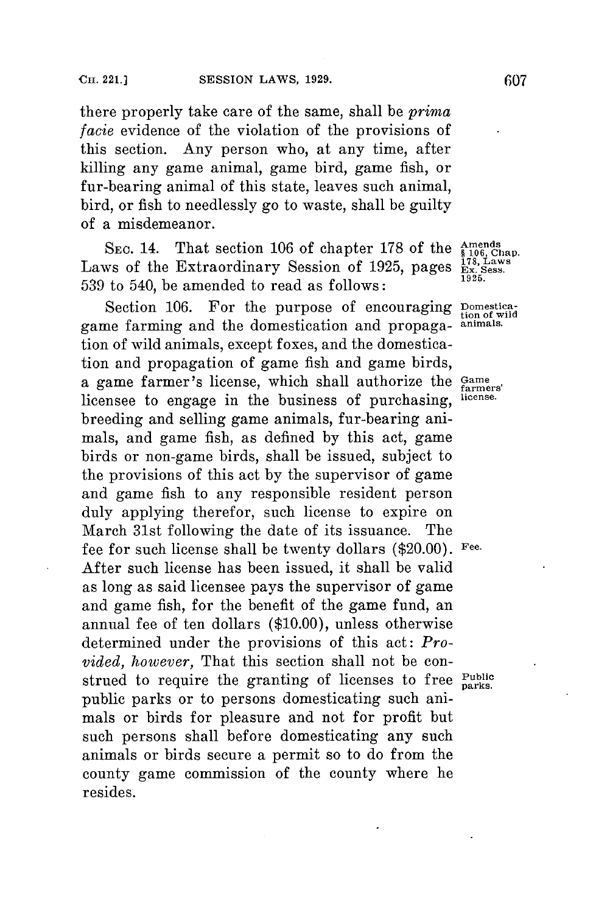there properly take care of the same, shall be *prima facie* evidence of the violation of the provisions of this section. Any person who, at any time, after killing any game animal, game bird, game fish, or fur-bearing animal of this state, leaves such animal, bird, or fish to needlessly go to waste, shall be guilty of a misdemeanor.

SEC. 14. That section 106 of chapter 178 of the  $\frac{\text{Amends}}{\$106,\text{Chap}}$ Laws of the Extraordinary Session of 1925, pages  $\frac{178, \text{La}}{\text{Ex}}$  Ses **539** to 540, be amended to read as follows:

Section 106. For the purpose of encouraging **Domestica**game farming and the domestication and propaga- **animals.** tion of wild animals, except foxes, and the domestication and propagation of game fish and game birds, a game farmer's license, which shall authorize the Game licensee to engage in the business of purchasing, **license.** breeding and selling game animals, fur-bearing animals, and game fish, as defined **by** this act, game birds or non-game birds, shall be issued, subject to the provisions of this act **by** the supervisor of game and game fish to any responsible resident person duly applying therefor, such license to expire on March 31st following the date of its issuance. The fee for such license shall be twenty dollars (\$20.00). **Fee.** After such license has been issued, it shall be valid as long as said licensee pays the supervisor of game and game fish, **for** the benefit of the game fund, an annual fee of ten dollars **(\$10.00),** unless otherwise determined under the provisions of this act: *Provided, however,* That this section shall not be construed to require the granting of licenses to free **Public parks.** public parks or to persons domesticating such animals or birds for pleasure and not for profit but such persons shall before domesticating any such animals or birds secure a permit so to do from the county game commission of the county where he resides.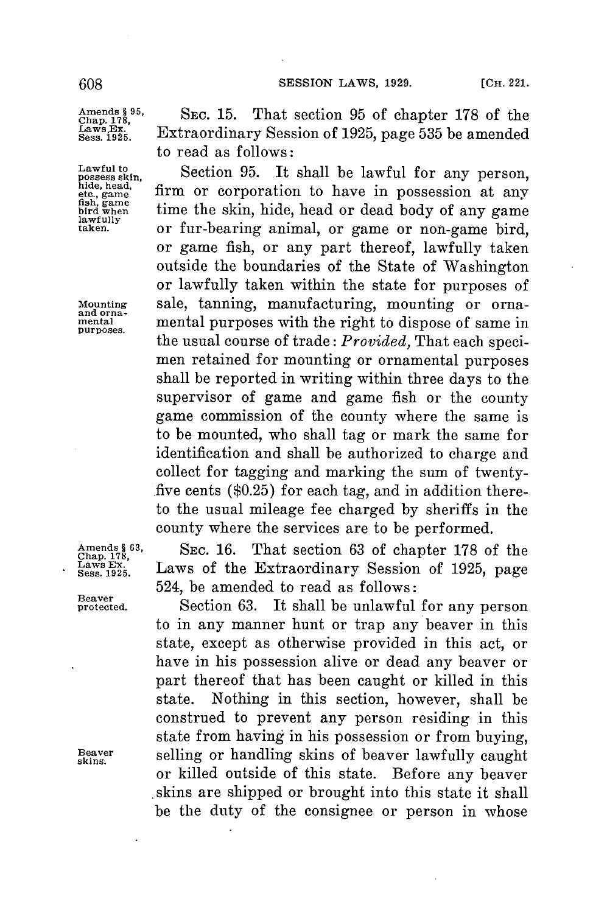**Beaver**

Amends **§** <sup>95</sup>, SEC. 15. That section 95 of chapter 178 of the Laws. Extraordinary Session of 1925, page 535 be amended Sess. 1925. to read as follows:

Lawful to Section 95. It shall be lawful for any person, hide, head, film or corporation to have in possession at any film of the skin, hide, head or dead body of any game bird when fish, game **included in possession** time the skin, hide, head or dead body of any game<br>bawfully<br>taken. **but any or fur-bearing animal or game or non-game** bird or fur-bearing animal, or game or non-game bird, or game fish, or any part thereof, lawfully taken outside the boundaries of the State of Washington or lawfully taken within the state for purposes of **1Mounting** sale, tanning, manufacturing, mounting or orna- and orna- **mental** mental purposes with the right to dispose of same in the usual course of trade: *Provided,* That each specimen retained for mounting or ornamental purposes shall be reported in writing within three days to the supervisor of game and game fish or the county game commission of the county where the same is to be mounted, who shall tag or mark the same for identification and shall be authorized to charge and collect for tagging and marking the sum of twenty- .five cents **(\$0.25) for** each tag, and in addition thereto the usual mileage fee charged **by** sheriffs in the county where the services are to be performed.

Amends 63, **SEC. 16.** That section 63 of chapter 178 of the Chap. 178,<br>Laws Ex. **Laws** of the Extraordinary Session of 1925, page Laws Ex. Laws of the Extraordinary Session of 1925, page 524, be amended to read as follows:

Section 63. It shall be unlawful for any person to in any manner hunt or trap any beaver in this state, except as otherwise provided in this act, or have in his possession alive or dead any beaver or part thereof that has been caught or killed in this state. Nothing in this section, however, shall be construed to prevent any person residing in this state from having in his possession or from buying, Exterming selling or handling skins of beaver lawfully caught<br>or killed outside of this state. Before any beaver or killed outside of this state. .skins are shipped or brought into this state it shall be the duty of the consignee or person in whose